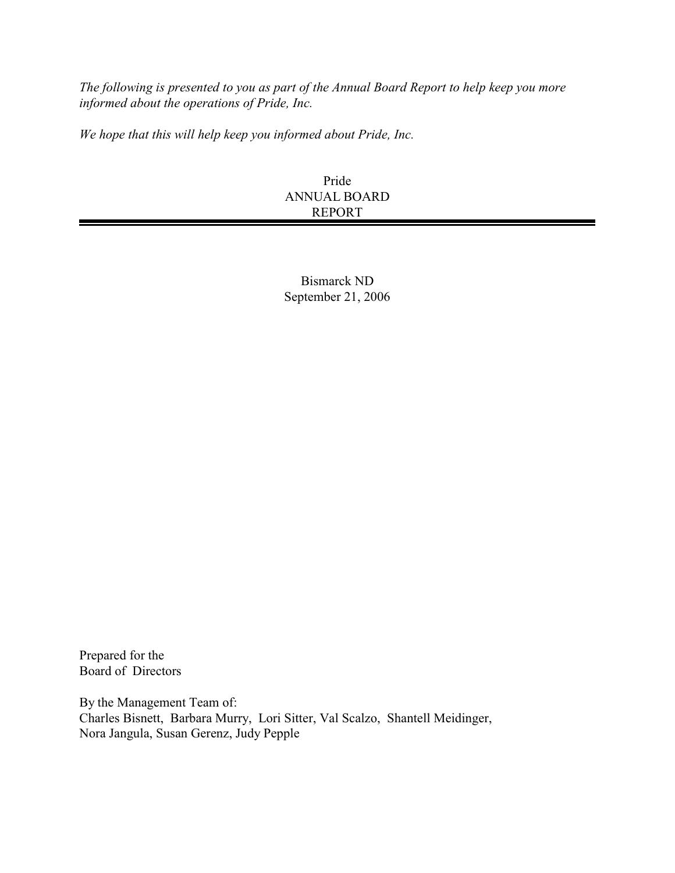*The following is presented to you as part of the Annual Board Report to help keep you more informed about the operations of Pride, Inc.* 

*We hope that this will help keep you informed about Pride, Inc.*

#### Pride ANNUAL BOARD REPORT

Bismarck ND September 21, 2006

Prepared for the Board of Directors

By the Management Team of: Charles Bisnett, Barbara Murry, Lori Sitter, Val Scalzo, Shantell Meidinger, Nora Jangula, Susan Gerenz, Judy Pepple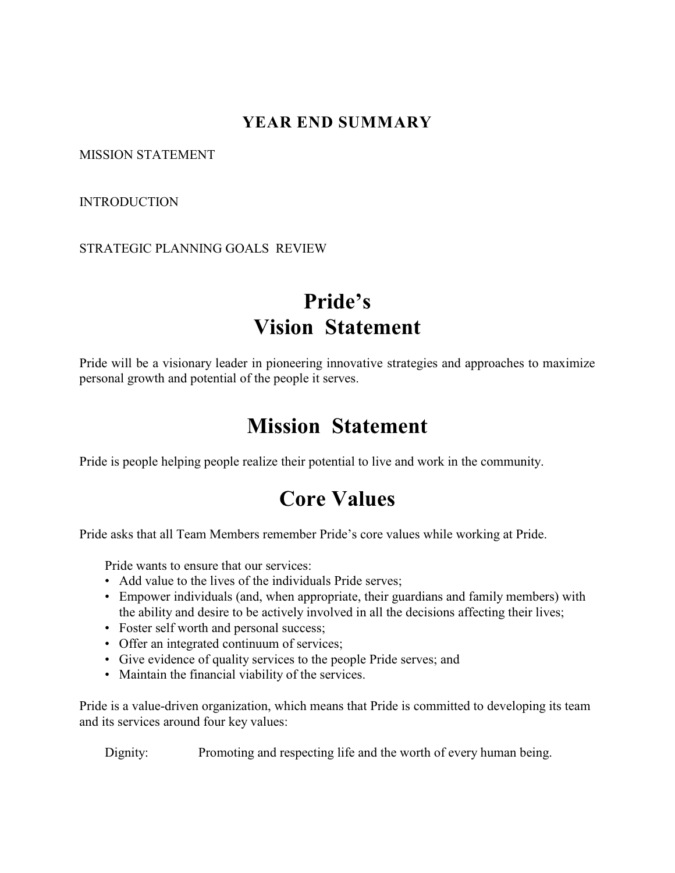# **YEAR END SUMMARY**

MISSION STATEMENT

**INTRODUCTION** 

STRATEGIC PLANNING GOALS REVIEW

# **Pride's Vision Statement**

Pride will be a visionary leader in pioneering innovative strategies and approaches to maximize personal growth and potential of the people it serves.

# **Mission Statement**

Pride is people helping people realize their potential to live and work in the community.

# **Core Values**

Pride asks that all Team Members remember Pride's core values while working at Pride.

Pride wants to ensure that our services:

- Add value to the lives of the individuals Pride serves;
- Empower individuals (and, when appropriate, their guardians and family members) with the ability and desire to be actively involved in all the decisions affecting their lives;
- Foster self worth and personal success;
- Offer an integrated continuum of services;
- Give evidence of quality services to the people Pride serves; and
- Maintain the financial viability of the services.

Pride is a value-driven organization, which means that Pride is committed to developing its team and its services around four key values:

Dignity: Promoting and respecting life and the worth of every human being.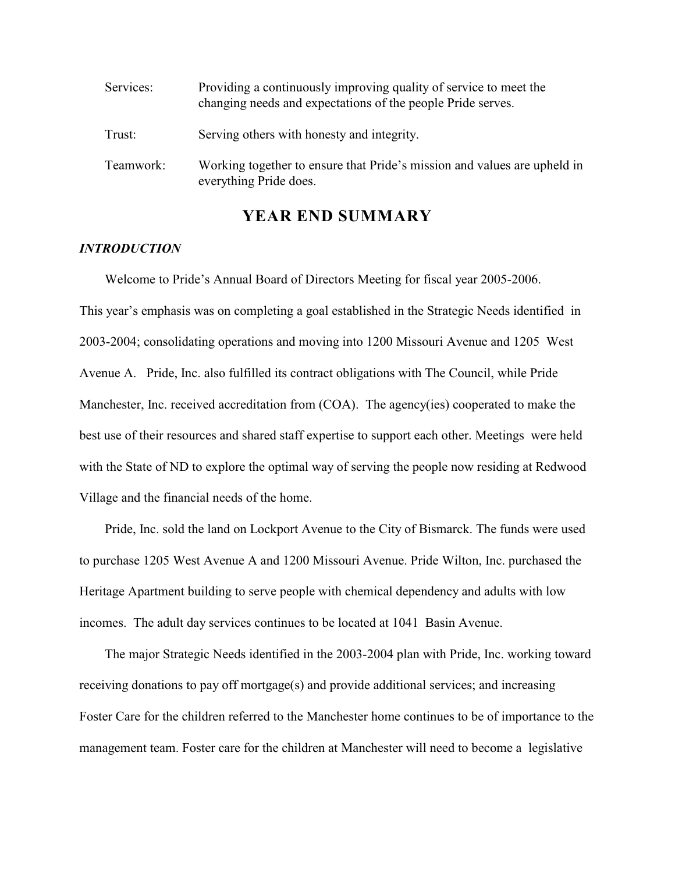| Services: | Providing a continuously improving quality of service to meet the<br>changing needs and expectations of the people Pride serves. |  |  |  |
|-----------|----------------------------------------------------------------------------------------------------------------------------------|--|--|--|
| Trust:    | Serving others with honesty and integrity.                                                                                       |  |  |  |
| Teamwork: | Working together to ensure that Pride's mission and values are upheld in<br>everything Pride does.                               |  |  |  |

### **YEAR END SUMMARY**

#### *INTRODUCTION*

Welcome to Pride's Annual Board of Directors Meeting for fiscal year 2005-2006. This year's emphasis was on completing a goal established in the Strategic Needs identified in 2003-2004; consolidating operations and moving into 1200 Missouri Avenue and 1205 West Avenue A. Pride, Inc. also fulfilled its contract obligations with The Council, while Pride Manchester, Inc. received accreditation from (COA). The agency(ies) cooperated to make the best use of their resources and shared staff expertise to support each other. Meetings were held with the State of ND to explore the optimal way of serving the people now residing at Redwood Village and the financial needs of the home.

Pride, Inc. sold the land on Lockport Avenue to the City of Bismarck. The funds were used to purchase 1205 West Avenue A and 1200 Missouri Avenue. Pride Wilton, Inc. purchased the Heritage Apartment building to serve people with chemical dependency and adults with low incomes. The adult day services continues to be located at 1041 Basin Avenue.

The major Strategic Needs identified in the 2003-2004 plan with Pride, Inc. working toward receiving donations to pay off mortgage(s) and provide additional services; and increasing Foster Care for the children referred to the Manchester home continues to be of importance to the management team. Foster care for the children at Manchester will need to become a legislative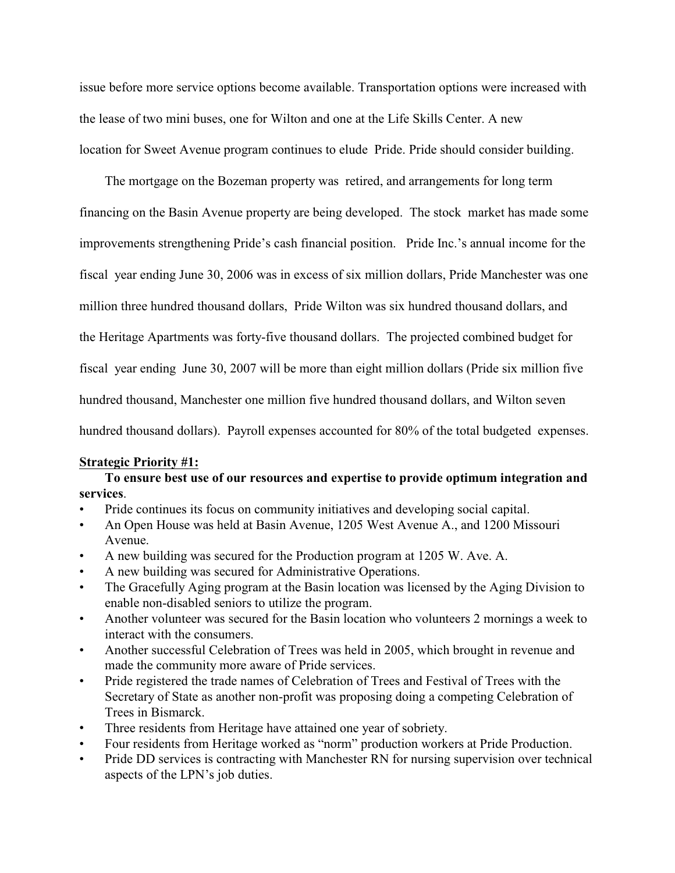issue before more service options become available. Transportation options were increased with the lease of two mini buses, one for Wilton and one at the Life Skills Center. A new location for Sweet Avenue program continues to elude Pride. Pride should consider building.

The mortgage on the Bozeman property was retired, and arrangements for long term financing on the Basin Avenue property are being developed. The stock market has made some improvements strengthening Pride's cash financial position. Pride Inc.'s annual income for the fiscal year ending June 30, 2006 was in excess of six million dollars, Pride Manchester was one million three hundred thousand dollars, Pride Wilton was six hundred thousand dollars, and the Heritage Apartments was forty-five thousand dollars. The projected combined budget for fiscal year ending June 30, 2007 will be more than eight million dollars (Pride six million five hundred thousand, Manchester one million five hundred thousand dollars, and Wilton seven hundred thousand dollars). Payroll expenses accounted for 80% of the total budgeted expenses.

#### **Strategic Priority #1:**

**To ensure best use of our resources and expertise to provide optimum integration and services**.

- Pride continues its focus on community initiatives and developing social capital.
- An Open House was held at Basin Avenue, 1205 West Avenue A., and 1200 Missouri Avenue.
- A new building was secured for the Production program at 1205 W. Ave. A.
- A new building was secured for Administrative Operations.
- The Gracefully Aging program at the Basin location was licensed by the Aging Division to enable non-disabled seniors to utilize the program.
- Another volunteer was secured for the Basin location who volunteers 2 mornings a week to interact with the consumers.
- Another successful Celebration of Trees was held in 2005, which brought in revenue and made the community more aware of Pride services.
- Pride registered the trade names of Celebration of Trees and Festival of Trees with the Secretary of State as another non-profit was proposing doing a competing Celebration of Trees in Bismarck.
- Three residents from Heritage have attained one year of sobriety.
- Four residents from Heritage worked as "norm" production workers at Pride Production.
- Pride DD services is contracting with Manchester RN for nursing supervision over technical aspects of the LPN's job duties.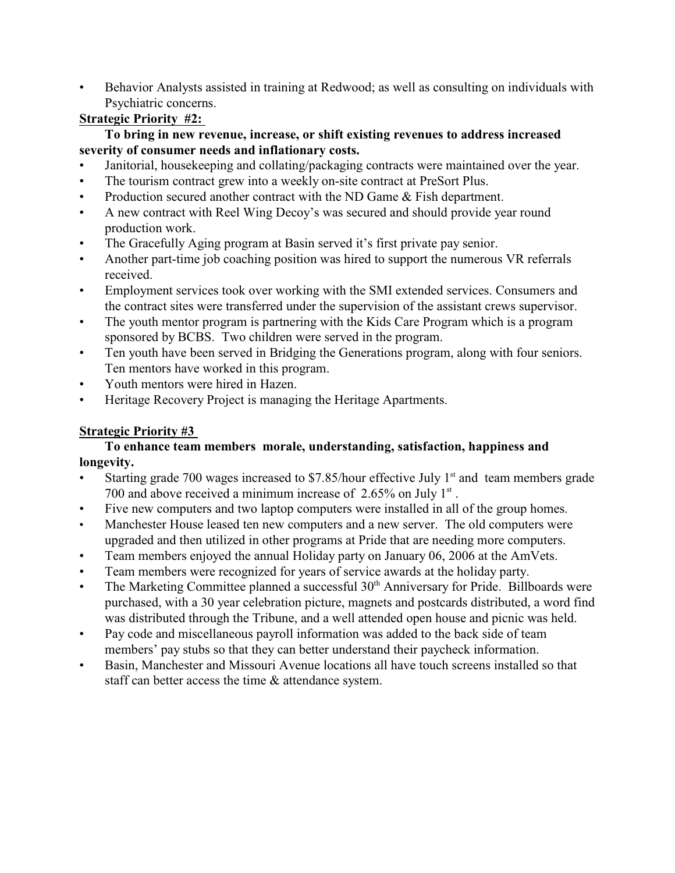• Behavior Analysts assisted in training at Redwood; as well as consulting on individuals with Psychiatric concerns.

# **Strategic Priority #2:**

#### **To bring in new revenue, increase, or shift existing revenues to address increased severity of consumer needs and inflationary costs.**

- Janitorial, housekeeping and collating/packaging contracts were maintained over the year.
- The tourism contract grew into a weekly on-site contract at PreSort Plus.
- Production secured another contract with the ND Game & Fish department.
- A new contract with Reel Wing Decoy's was secured and should provide year round production work.
- The Gracefully Aging program at Basin served it's first private pay senior.
- Another part-time job coaching position was hired to support the numerous VR referrals received.
- Employment services took over working with the SMI extended services. Consumers and the contract sites were transferred under the supervision of the assistant crews supervisor.
- The youth mentor program is partnering with the Kids Care Program which is a program sponsored by BCBS. Two children were served in the program.
- Ten youth have been served in Bridging the Generations program, along with four seniors. Ten mentors have worked in this program.
- Youth mentors were hired in Hazen.
- Heritage Recovery Project is managing the Heritage Apartments.

# **Strategic Priority #3**

### **To enhance team members morale, understanding, satisfaction, happiness and longevity.**

- Starting grade 700 wages increased to \$7.85/hour effective July  $1<sup>st</sup>$  and team members grade 700 and above received a minimum increase of  $2.65\%$  on July  $1<sup>st</sup>$ .
- Five new computers and two laptop computers were installed in all of the group homes.
- Manchester House leased ten new computers and a new server. The old computers were upgraded and then utilized in other programs at Pride that are needing more computers.
- Team members enjoyed the annual Holiday party on January 06, 2006 at the AmVets.
- Team members were recognized for years of service awards at the holiday party.
- The Marketing Committee planned a successful 30<sup>th</sup> Anniversary for Pride. Billboards were purchased, with a 30 year celebration picture, magnets and postcards distributed, a word find was distributed through the Tribune, and a well attended open house and picnic was held.
- Pay code and miscellaneous payroll information was added to the back side of team members' pay stubs so that they can better understand their paycheck information.
- Basin, Manchester and Missouri Avenue locations all have touch screens installed so that staff can better access the time & attendance system.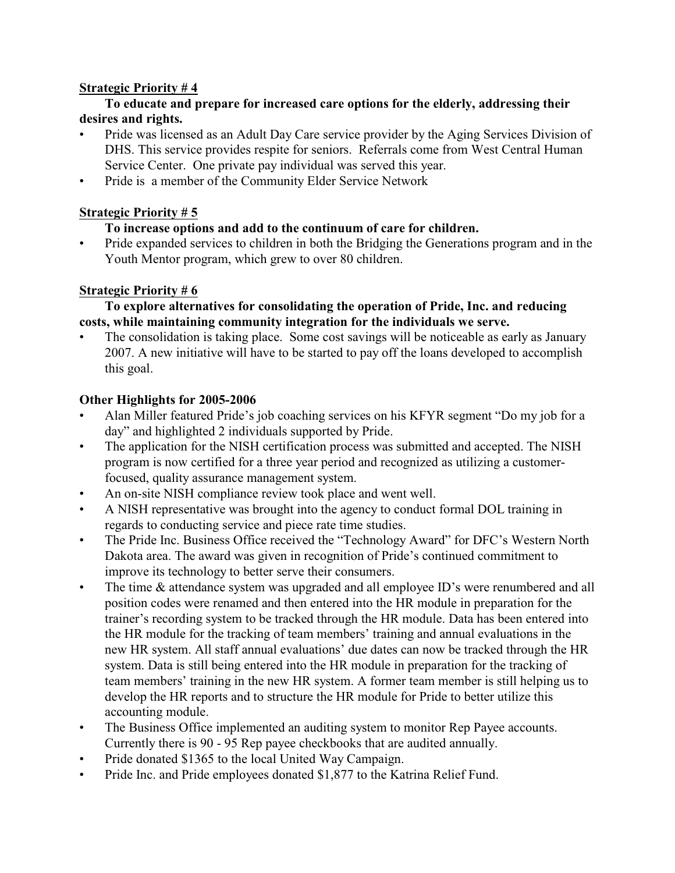#### **Strategic Priority # 4**

### **To educate and prepare for increased care options for the elderly, addressing their desires and rights.**

- Pride was licensed as an Adult Day Care service provider by the Aging Services Division of DHS. This service provides respite for seniors. Referrals come from West Central Human Service Center. One private pay individual was served this year.
- Pride is a member of the Community Elder Service Network

# **Strategic Priority # 5**

# **To increase options and add to the continuum of care for children.**

• Pride expanded services to children in both the Bridging the Generations program and in the Youth Mentor program, which grew to over 80 children.

# **Strategic Priority # 6**

### **To explore alternatives for consolidating the operation of Pride, Inc. and reducing costs, while maintaining community integration for the individuals we serve.**

The consolidation is taking place. Some cost savings will be noticeable as early as January 2007. A new initiative will have to be started to pay off the loans developed to accomplish this goal.

# **Other Highlights for 2005-2006**

- Alan Miller featured Pride's job coaching services on his KFYR segment "Do my job for a day" and highlighted 2 individuals supported by Pride.
- The application for the NISH certification process was submitted and accepted. The NISH program is now certified for a three year period and recognized as utilizing a customerfocused, quality assurance management system.
- An on-site NISH compliance review took place and went well.
- A NISH representative was brought into the agency to conduct formal DOL training in regards to conducting service and piece rate time studies.
- The Pride Inc. Business Office received the "Technology Award" for DFC's Western North Dakota area. The award was given in recognition of Pride's continued commitment to improve its technology to better serve their consumers.
- The time & attendance system was upgraded and all employee ID's were renumbered and all position codes were renamed and then entered into the HR module in preparation for the trainer's recording system to be tracked through the HR module. Data has been entered into the HR module for the tracking of team members' training and annual evaluations in the new HR system. All staff annual evaluations' due dates can now be tracked through the HR system. Data is still being entered into the HR module in preparation for the tracking of team members' training in the new HR system. A former team member is still helping us to develop the HR reports and to structure the HR module for Pride to better utilize this accounting module.
- The Business Office implemented an auditing system to monitor Rep Payee accounts. Currently there is 90 - 95 Rep payee checkbooks that are audited annually.
- Pride donated \$1365 to the local United Way Campaign.
- Pride Inc. and Pride employees donated \$1,877 to the Katrina Relief Fund.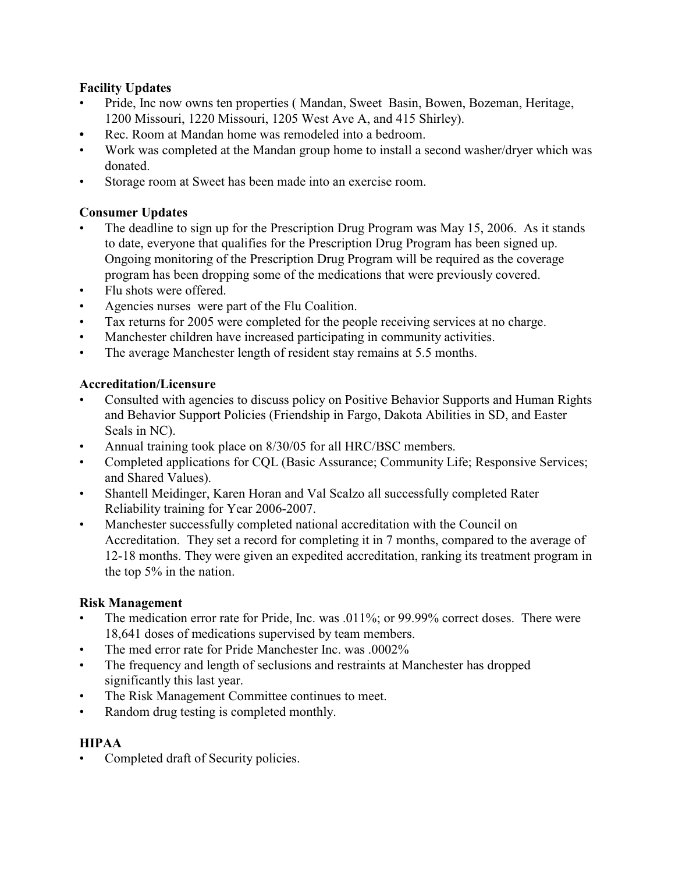#### **Facility Updates**

- Pride, Inc now owns ten properties ( Mandan, Sweet Basin, Bowen, Bozeman, Heritage, 1200 Missouri, 1220 Missouri, 1205 West Ave A, and 415 Shirley).
- **•** Rec. Room at Mandan home was remodeled into a bedroom.
- Work was completed at the Mandan group home to install a second washer/dryer which was donated.
- Storage room at Sweet has been made into an exercise room.

# **Consumer Updates**

- The deadline to sign up for the Prescription Drug Program was May 15, 2006. As it stands to date, everyone that qualifies for the Prescription Drug Program has been signed up. Ongoing monitoring of the Prescription Drug Program will be required as the coverage program has been dropping some of the medications that were previously covered.
- Flu shots were offered.
- Agencies nurses were part of the Flu Coalition.
- Tax returns for 2005 were completed for the people receiving services at no charge.
- Manchester children have increased participating in community activities.
- The average Manchester length of resident stay remains at 5.5 months.

### **Accreditation/Licensure**

- Consulted with agencies to discuss policy on Positive Behavior Supports and Human Rights and Behavior Support Policies (Friendship in Fargo, Dakota Abilities in SD, and Easter Seals in NC).
- Annual training took place on 8/30/05 for all HRC/BSC members.
- Completed applications for CQL (Basic Assurance; Community Life; Responsive Services; and Shared Values).
- Shantell Meidinger, Karen Horan and Val Scalzo all successfully completed Rater Reliability training for Year 2006-2007.
- Manchester successfully completed national accreditation with the Council on Accreditation. They set a record for completing it in 7 months, compared to the average of 12-18 months. They were given an expedited accreditation, ranking its treatment program in the top 5% in the nation.

#### **Risk Management**

- The medication error rate for Pride, Inc. was .011%; or 99.99% correct doses. There were 18,641 doses of medications supervised by team members.
- The med error rate for Pride Manchester Inc. was .0002%
- The frequency and length of seclusions and restraints at Manchester has dropped significantly this last year.
- The Risk Management Committee continues to meet.
- Random drug testing is completed monthly.

#### **HIPAA**

• Completed draft of Security policies.